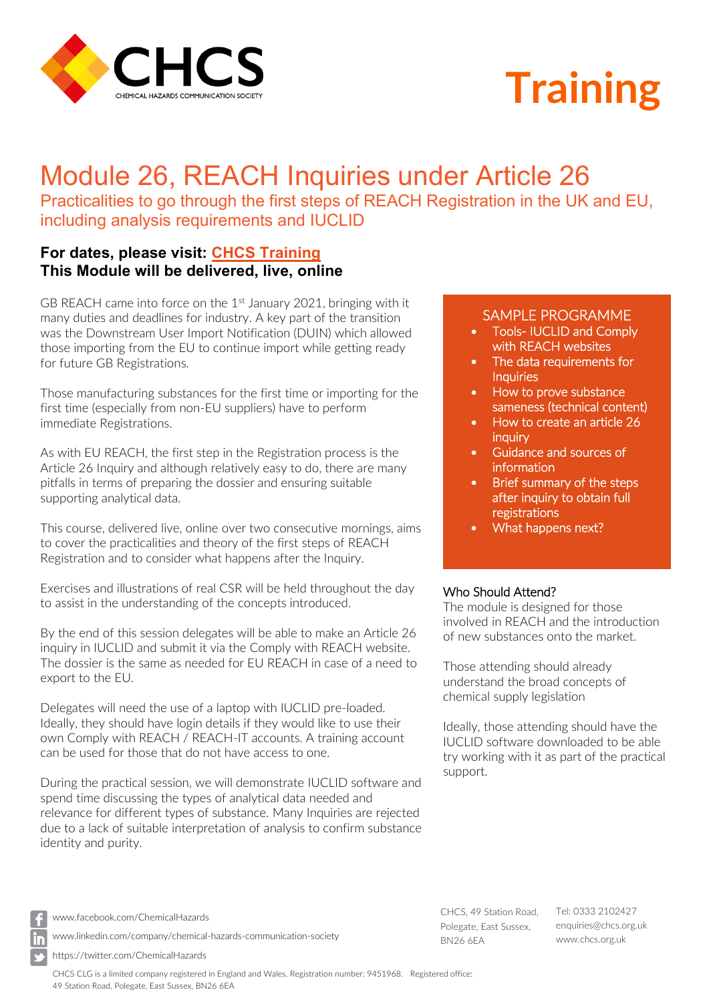

# **Training**

# Module 26, REACH Inquiries under Article 26

Practicalities to go through the first steps of REACH Registration in the UK and EU, including analysis requirements and IUCLID

## **For dates, please visit: [CHCS Training](http://www.chcs.org.uk/chemical-hazards-training) This Module will be delivered, live, online**

GB REACH came into force on the  $1<sup>st</sup>$  January 2021, bringing with it many duties and deadlines for industry. A key part of the transition was the Downstream User Import Notification (DUIN) which allowed those importing from the EU to continue import while getting ready for future GB Registrations.

Those manufacturing substances for the first time or importing for the first time (especially from non-EU suppliers) have to perform immediate Registrations.

As with EU REACH, the first step in the Registration process is the Article 26 Inquiry and although relatively easy to do, there are many pitfalls in terms of preparing the dossier and ensuring suitable supporting analytical data.

This course, delivered live, online over two consecutive mornings, aims to cover the practicalities and theory of the first steps of REACH Registration and to consider what happens after the Inquiry.

Exercises and illustrations of real CSR will be held throughout the day to assist in the understanding of the concepts introduced.

By the end of this session delegates will be able to make an Article 26 inquiry in IUCLID and submit it via the Comply with REACH website. The dossier is the same as needed for EU REACH in case of a need to export to the EU.

Delegates will need the use of a laptop with IUCLID pre-loaded. Ideally, they should have login details if they would like to use their own Comply with REACH / REACH-IT accounts. A training account can be used for those that do not have access to one.

During the practical session, we will demonstrate IUCLID software and spend time discussing the types of analytical data needed and relevance for different types of substance. Many Inquiries are rejected due to a lack of suitable interpretation of analysis to confirm substance identity and purity.

### SAMPLE PROGRAMME

- Tools- IUCLID and Comply with REACH websites
- The data requirements for **Inquiries**
- How to prove substance sameness (technical content)
- How to create an article 26 **inquiry**
- Guidance and sources of **information**
- Brief summary of the steps after inquiry to obtain full registrations
- What happens next?

#### Who Should Attend?

The module is designed for those involved in REACH and the introduction of new substances onto the market.

Those attending should already understand the broad concepts of chemical supply legislation

Ideally, those attending should have the IUCLID software downloaded to be able try working with it as part of the practical support.

[www.facebook.com/ChemicalHazards](http://www.facebook.com/ChemicalHazards)

[www.linkedin.com/company/chemical-hazards-communication-society](http://www.linkedin.com/company/chemical-hazards-communication-society)

https://twitter.com/ChemicalHazards

CHCS CLG is a limited company registered in England and Wales. Registration number: 9451968. Registered office: 49 Station Road, Polegate, East Sussex, BN26 6EA

CHCS, 49 Station Road, Polegate, East Sussex, BN26 6EA

Tel: 0333 2102427 [enquiries@chcs.org.uk](mailto:enquiries@chcs.org.uk) [www.chcs.org.uk](http://www.chcs.org.uk/)